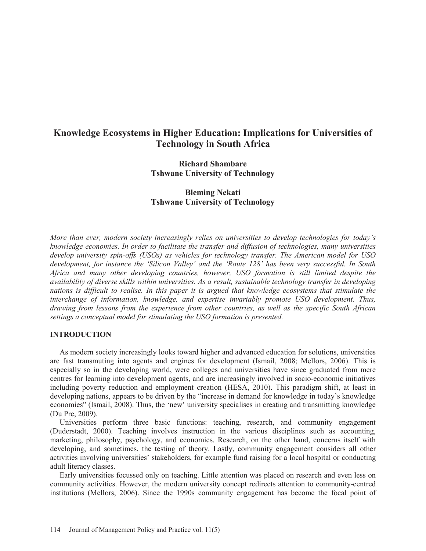# **Knowledge Ecosystems in Higher Education: Implications for Universities of Technology in South Africa**

# **Richard Shambare Tshwane University of Technology**

**Bleming Nekati Tshwane University of Technology** 

*More than ever, modern society increasingly relies on universities to develop technologies for today's knowledge economies. In order to facilitate the transfer and diffusion of technologies, many universities develop university spin-offs (USOs) as vehicles for technology transfer. The American model for USO development, for instance the 'Silicon Valley' and the 'Route 128' has been very successful. In South Africa and many other developing countries, however, USO formation is still limited despite the availability of diverse skills within universities. As a result, sustainable technology transfer in developing nations is difficult to realise. In this paper it is argued that knowledge ecosystems that stimulate the interchange of information, knowledge, and expertise invariably promote USO development. Thus, drawing from lessons from the experience from other countries, as well as the specific South African settings a conceptual model for stimulating the USO formation is presented.* 

# **INTRODUCTION**

 As modern society increasingly looks toward higher and advanced education for solutions, universities are fast transmuting into agents and engines for development (Ismail, 2008; Mellors, 2006). This is especially so in the developing world, were colleges and universities have since graduated from mere centres for learning into development agents, and are increasingly involved in socio-economic initiatives including poverty reduction and employment creation (HESA, 2010). This paradigm shift, at least in developing nations, appears to be driven by the "increase in demand for knowledge in today's knowledge economies" (Ismail, 2008). Thus, the 'new' university specialises in creating and transmitting knowledge (Du Pre, 2009).

 Universities perform three basic functions: teaching, research, and community engagement (Duderstadt, 2000). Teaching involves instruction in the various disciplines such as accounting, marketing, philosophy, psychology, and economics. Research, on the other hand, concerns itself with developing, and sometimes, the testing of theory. Lastly, community engagement considers all other activities involving universities' stakeholders, for example fund raising for a local hospital or conducting adult literacy classes.

 Early universities focussed only on teaching. Little attention was placed on research and even less on community activities. However, the modern university concept redirects attention to community-centred institutions (Mellors, 2006). Since the 1990s community engagement has become the focal point of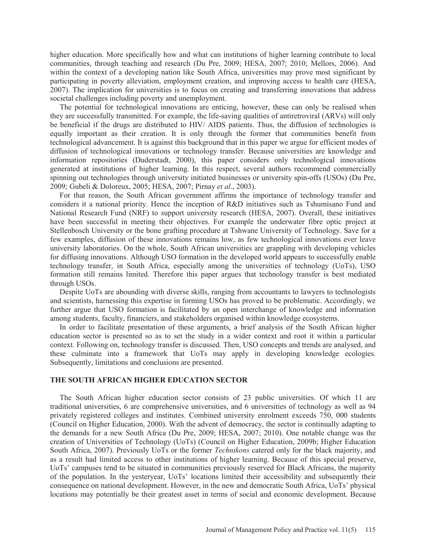higher education. More specifically how and what can institutions of higher learning contribute to local communities, through teaching and research (Du Pre, 2009; HESA, 2007; 2010; Mellors, 2006). And within the context of a developing nation like South Africa, universities may prove most significant by participating in poverty alleviation, employment creation, and improving access to health care (HESA, 2007). The implication for universities is to focus on creating and transferring innovations that address societal challenges including poverty and unemployment.

 The potential for technological innovations are enticing, however, these can only be realised when they are successfully transmitted. For example, the life-saving qualities of antiretroviral (ARVs) will only be beneficial if the drugs are distributed to HIV/ AIDS patients. Thus, the diffusion of technologies is equally important as their creation. It is only through the former that communities benefit from technological advancement. It is against this background that in this paper we argue for efficient modes of diffusion of technological innovations or technology transfer. Because universities are knowledge and information repositories (Duderstadt, 2000), this paper considers only technological innovations generated at institutions of higher learning. In this respect, several authors recommend commercially spinning out technologies through university initiated businesses or university spin-offs (USOs) (Du Pre, 2009; Gubeli & Doloreux, 2005; HESA, 2007; Pirnay *et al*., 2003).

 For that reason, the South African government affirms the importance of technology transfer and considers it a national priority. Hence the inception of R&D initiatives such as Tshumisano Fund and National Research Fund (NRF) to support university research (HESA, 2007). Overall, these initiatives have been successful in meeting their objectives. For example the underwater fibre optic project at Stellenbosch University or the bone grafting procedure at Tshwane University of Technology. Save for a few examples, diffusion of these innovations remains low, as few technological innovations ever leave university laboratories. On the whole, South African universities are grappling with developing vehicles for diffusing innovations. Although USO formation in the developed world appears to successfully enable technology transfer, in South Africa, especially among the universities of technology (UoTs), USO formation still remains limited. Therefore this paper argues that technology transfer is best mediated through USOs.

 Despite UoTs are abounding with diverse skills, ranging from accountants to lawyers to technologists and scientists, harnessing this expertise in forming USOs has proved to be problematic. Accordingly, we further argue that USO formation is facilitated by an open interchange of knowledge and information among students, faculty, financiers, and stakeholders organised within knowledge ecosystems.

 In order to facilitate presentation of these arguments, a brief analysis of the South African higher education sector is presented so as to set the study in a wider context and root it within a particular context. Following on, technology transfer is discussed. Then, USO concepts and trends are analysed, and these culminate into a framework that UoTs may apply in developing knowledge ecologies. Subsequently, limitations and conclusions are presented.

# **THE SOUTH AFRICAN HIGHER EDUCATION SECTOR**

 The South African higher education sector consists of 23 public universities. Of which 11 are traditional universities, 6 are comprehensive universities, and 6 universities of technology as well as 94 privately registered colleges and institutes. Combined university enrolment exceeds 750, 000 students (Council on Higher Education, 2000). With the advent of democracy, the sector is continually adapting to the demands for a new South Africa (Du Pre, 2009; HESA, 2007; 2010). One notable change was the creation of Universities of Technology (UoTs) (Council on Higher Education, 2009b; Higher Education South Africa, 2007). Previously UoTs or the former *Technikons* catered only for the black majority, and as a result had limited access to other institutions of higher learning. Because of this special preserve, UoTs' campuses tend to be situated in communities previously reserved for Black Africans, the majority of the population. In the yesteryear, UoTs' locations limited their accessibility and subsequently their consequence on national development. However, in the new and democratic South Africa, UoTs' physical locations may potentially be their greatest asset in terms of social and economic development. Because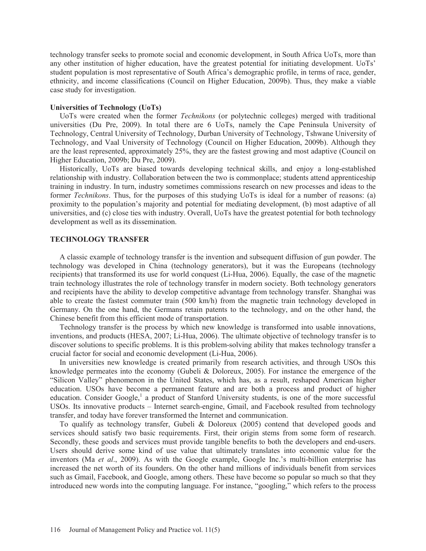technology transfer seeks to promote social and economic development, in South Africa UoTs, more than any other institution of higher education, have the greatest potential for initiating development. UoTs' student population is most representative of South Africa's demographic profile, in terms of race, gender, ethnicity, and income classifications (Council on Higher Education, 2009b). Thus, they make a viable case study for investigation.

# **Universities of Technology (UoTs)**

 UoTs were created when the former *Technikons* (or polytechnic colleges) merged with traditional universities (Du Pre, 2009). In total there are 6 UoTs, namely the Cape Peninsula University of Technology, Central University of Technology, Durban University of Technology, Tshwane University of Technology, and Vaal University of Technology (Council on Higher Education, 2009b). Although they are the least represented, approximately 25%, they are the fastest growing and most adaptive (Council on Higher Education, 2009b; Du Pre, 2009).

 Historically, UoTs are biased towards developing technical skills, and enjoy a long-established relationship with industry. Collaboration between the two is commonplace; students attend apprenticeship training in industry. In turn, industry sometimes commissions research on new processes and ideas to the former *Technikons*. Thus, for the purposes of this studying UoTs is ideal for a number of reasons: (a) proximity to the population's majority and potential for mediating development, (b) most adaptive of all universities, and (c) close ties with industry. Overall, UoTs have the greatest potential for both technology development as well as its dissemination.

## **TECHNOLOGY TRANSFER**

 A classic example of technology transfer is the invention and subsequent diffusion of gun powder. The technology was developed in China (technology generators), but it was the Europeans (technology recipients) that transformed its use for world conquest (Li-Hua, 2006). Equally, the case of the magnetic train technology illustrates the role of technology transfer in modern society. Both technology generators and recipients have the ability to develop competitive advantage from technology transfer. Shanghai was able to create the fastest commuter train (500 km/h) from the magnetic train technology developed in Germany. On the one hand, the Germans retain patents to the technology, and on the other hand, the Chinese benefit from this efficient mode of transportation.

 Technology transfer is the process by which new knowledge is transformed into usable innovations, inventions, and products (HESA, 2007; Li-Hua, 2006). The ultimate objective of technology transfer is to discover solutions to specific problems. It is this problem-solving ability that makes technology transfer a crucial factor for social and economic development (Li-Hua, 2006).

 In universities new knowledge is created primarily from research activities, and through USOs this knowledge permeates into the economy (Gubeli & Doloreux, 2005). For instance the emergence of the "Silicon Valley" phenomenon in the United States, which has, as a result, reshaped American higher education. USOs have become a permanent feature and are both a process and product of higher education. Consider Google,<sup>1</sup> a product of Stanford University students, is one of the more successful USOs. Its innovative products – Internet search-engine, Gmail, and Facebook resulted from technology transfer, and today have forever transformed the Internet and communication.

 To qualify as technology transfer, Gubeli & Doloreux (2005) contend that developed goods and services should satisfy two basic requirements. First, their origin stems from some form of research. Secondly, these goods and services must provide tangible benefits to both the developers and end-users. Users should derive some kind of use value that ultimately translates into economic value for the inventors (Ma *et al*., 2009). As with the Google example, Google Inc.'s multi-billion enterprise has increased the net worth of its founders. On the other hand millions of individuals benefit from services such as Gmail, Facebook, and Google, among others. These have become so popular so much so that they introduced new words into the computing language. For instance, "googling," which refers to the process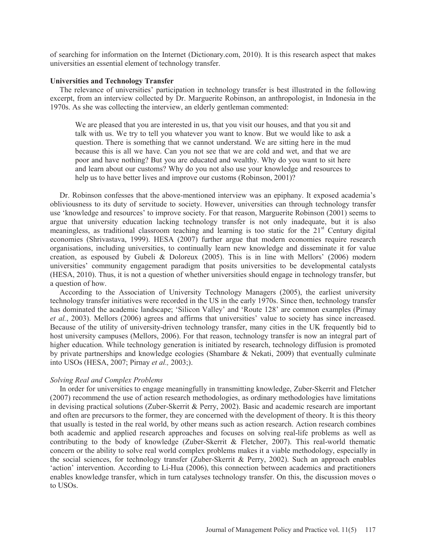of searching for information on the Internet (Dictionary.com, 2010). It is this research aspect that makes universities an essential element of technology transfer.

### **Universities and Technology Transfer**

 The relevance of universities' participation in technology transfer is best illustrated in the following excerpt, from an interview collected by Dr. Marguerite Robinson, an anthropologist, in Indonesia in the 1970s. As she was collecting the interview, an elderly gentleman commented:

We are pleased that you are interested in us, that you visit our houses, and that you sit and talk with us. We try to tell you whatever you want to know. But we would like to ask a question. There is something that we cannot understand. We are sitting here in the mud because this is all we have. Can you not see that we are cold and wet, and that we are poor and have nothing? But you are educated and wealthy. Why do you want to sit here and learn about our customs? Why do you not also use your knowledge and resources to help us to have better lives and improve our customs (Robinson, 2001)?

 Dr. Robinson confesses that the above-mentioned interview was an epiphany. It exposed academia's obliviousness to its duty of servitude to society. However, universities can through technology transfer use 'knowledge and resources' to improve society. For that reason, Marguerite Robinson (2001) seems to argue that university education lacking technology transfer is not only inadequate, but it is also meaningless, as traditional classroom teaching and learning is too static for the  $21<sup>st</sup>$  Century digital economies (Shrivastava, 1999). HESA (2007) further argue that modern economies require research organisations, including universities, to continually learn new knowledge and disseminate it for value creation, as espoused by Gubeli & Doloreux (2005). This is in line with Mellors' (2006) modern universities' community engagement paradigm that posits universities to be developmental catalysts (HESA, 2010). Thus, it is not a question of whether universities should engage in technology transfer, but a question of how.

 According to the Association of University Technology Managers (2005), the earliest university technology transfer initiatives were recorded in the US in the early 1970s. Since then, technology transfer has dominated the academic landscape; 'Silicon Valley' and 'Route 128' are common examples (Pirnay *et al.*, 2003). Mellors (2006) agrees and affirms that universities' value to society has since increased. Because of the utility of university-driven technology transfer, many cities in the UK frequently bid to host university campuses (Mellors, 2006). For that reason, technology transfer is now an integral part of higher education. While technology generation is initiated by research, technology diffusion is promoted by private partnerships and knowledge ecologies (Shambare & Nekati, 2009) that eventually culminate into USOs (HESA, 2007; Pirnay *et al.,* 2003;).

# *Solving Real and Complex Problems*

 In order for universities to engage meaningfully in transmitting knowledge, Zuber-Skerrit and Fletcher (2007) recommend the use of action research methodologies, as ordinary methodologies have limitations in devising practical solutions (Zuber-Skerrit & Perry, 2002). Basic and academic research are important and often are precursors to the former, they are concerned with the development of theory. It is this theory that usually is tested in the real world, by other means such as action research. Action research combines both academic and applied research approaches and focuses on solving real-life problems as well as contributing to the body of knowledge (Zuber-Skerrit & Fletcher, 2007). This real-world thematic concern or the ability to solve real world complex problems makes it a viable methodology, especially in the social sciences, for technology transfer (Zuber-Skerrit & Perry, 2002). Such an approach enables 'action' intervention. According to Li-Hua (2006), this connection between academics and practitioners enables knowledge transfer, which in turn catalyses technology transfer. On this, the discussion moves o to USOs.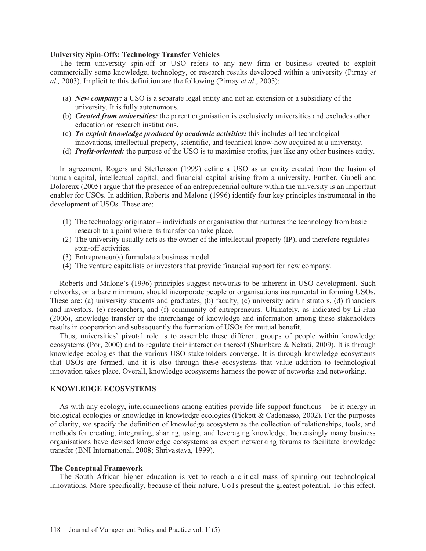### **University Spin-Offs: Technology Transfer Vehicles**

 The term university spin-off or USO refers to any new firm or business created to exploit commercially some knowledge, technology, or research results developed within a university (Pirnay *et al.,* 2003). Implicit to this definition are the following (Pirnay *et al*., 2003):

- (a) *New company:* a USO is a separate legal entity and not an extension or a subsidiary of the university. It is fully autonomous.
- (b) *Created from universities:* the parent organisation is exclusively universities and excludes other education or research institutions.
- (c) *To exploit knowledge produced by academic activities:* this includes all technological innovations, intellectual property, scientific, and technical know-how acquired at a university.
- (d) *Profit-oriented:* the purpose of the USO is to maximise profits, just like any other business entity.

 In agreement, Rogers and Steffenson (1999) define a USO as an entity created from the fusion of human capital, intellectual capital, and financial capital arising from a university. Further, Gubeli and Doloreux (2005) argue that the presence of an entrepreneurial culture within the university is an important enabler for USOs. In addition, Roberts and Malone (1996) identify four key principles instrumental in the development of USOs. These are:

- (1) The technology originator individuals or organisation that nurtures the technology from basic research to a point where its transfer can take place.
- (2) The university usually acts as the owner of the intellectual property (IP), and therefore regulates spin-off activities.
- (3) Entrepreneur(s) formulate a business model
- (4) The venture capitalists or investors that provide financial support for new company.

 Roberts and Malone's (1996) principles suggest networks to be inherent in USO development. Such networks, on a bare minimum, should incorporate people or organisations instrumental in forming USOs. These are: (a) university students and graduates, (b) faculty, (c) university administrators, (d) financiers and investors, (e) researchers, and (f) community of entrepreneurs. Ultimately, as indicated by Li-Hua (2006), knowledge transfer or the interchange of knowledge and information among these stakeholders results in cooperation and subsequently the formation of USOs for mutual benefit.

 Thus, universities' pivotal role is to assemble these different groups of people within knowledge ecosystems (Por, 2000) and to regulate their interaction thereof (Shambare & Nekati, 2009). It is through knowledge ecologies that the various USO stakeholders converge. It is through knowledge ecosystems that USOs are formed, and it is also through these ecosystems that value addition to technological innovation takes place. Overall, knowledge ecosystems harness the power of networks and networking.

# **KNOWLEDGE ECOSYSTEMS**

 As with any ecology, interconnections among entities provide life support functions – be it energy in biological ecologies or knowledge in knowledge ecologies (Pickett & Cadenasso, 2002). For the purposes of clarity, we specify the definition of knowledge ecosystem as the collection of relationships, tools, and methods for creating, integrating, sharing, using, and leveraging knowledge. Increasingly many business organisations have devised knowledge ecosystems as expert networking forums to facilitate knowledge transfer (BNI International, 2008; Shrivastava, 1999).

### **The Conceptual Framework**

 The South African higher education is yet to reach a critical mass of spinning out technological innovations. More specifically, because of their nature, UoTs present the greatest potential. To this effect,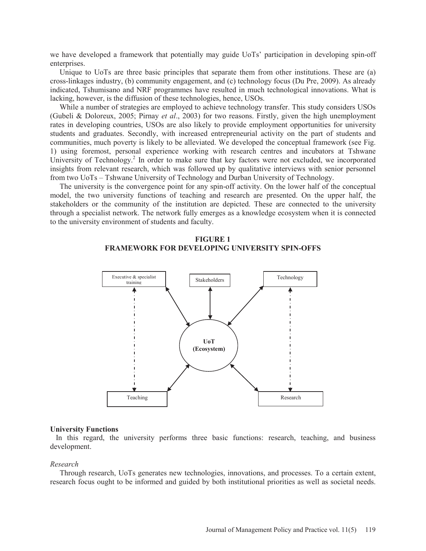we have developed a framework that potentially may guide UoTs' participation in developing spin-off enterprises.

 Unique to UoTs are three basic principles that separate them from other institutions. These are (a) cross-linkages industry, (b) community engagement, and (c) technology focus (Du Pre, 2009). As already indicated, Tshumisano and NRF programmes have resulted in much technological innovations. What is lacking, however, is the diffusion of these technologies, hence, USOs.

 While a number of strategies are employed to achieve technology transfer. This study considers USOs (Gubeli & Doloreux, 2005; Pirnay *et al*., 2003) for two reasons. Firstly, given the high unemployment rates in developing countries, USOs are also likely to provide employment opportunities for university students and graduates. Secondly, with increased entrepreneurial activity on the part of students and communities, much poverty is likely to be alleviated. We developed the conceptual framework (see Fig. 1) using foremost, personal experience working with research centres and incubators at Tshwane University of Technology.<sup>2</sup> In order to make sure that key factors were not excluded, we incorporated insights from relevant research, which was followed up by qualitative interviews with senior personnel from two UoTs – Tshwane University of Technology and Durban University of Technology.

 The university is the convergence point for any spin-off activity. On the lower half of the conceptual model, the two university functions of teaching and research are presented. On the upper half, the stakeholders or the community of the institution are depicted. These are connected to the university through a specialist network. The network fully emerges as a knowledge ecosystem when it is connected to the university environment of students and faculty.





### **University Functions**

 In this regard, the university performs three basic functions: research, teaching, and business development.

#### *Research*

 Through research, UoTs generates new technologies, innovations, and processes. To a certain extent, research focus ought to be informed and guided by both institutional priorities as well as societal needs.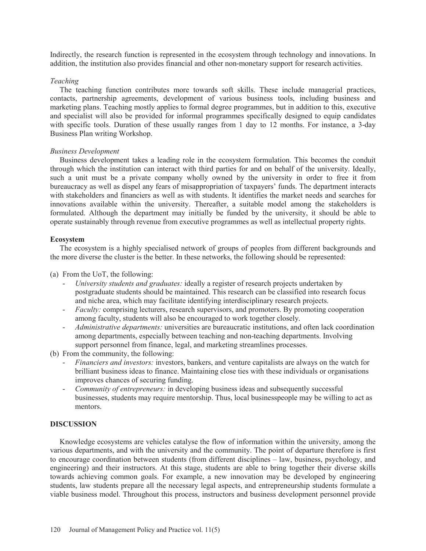Indirectly, the research function is represented in the ecosystem through technology and innovations. In addition, the institution also provides financial and other non-monetary support for research activities.

# *Teaching*

 The teaching function contributes more towards soft skills. These include managerial practices, contacts, partnership agreements, development of various business tools, including business and marketing plans. Teaching mostly applies to formal degree programmes, but in addition to this, executive and specialist will also be provided for informal programmes specifically designed to equip candidates with specific tools. Duration of these usually ranges from 1 day to 12 months. For instance, a 3-day Business Plan writing Workshop.

# *Business Development*

 Business development takes a leading role in the ecosystem formulation. This becomes the conduit through which the institution can interact with third parties for and on behalf of the university. Ideally, such a unit must be a private company wholly owned by the university in order to free it from bureaucracy as well as dispel any fears of misappropriation of taxpayers' funds. The department interacts with stakeholders and financiers as well as with students. It identifies the market needs and searches for innovations available within the university. Thereafter, a suitable model among the stakeholders is formulated. Although the department may initially be funded by the university, it should be able to operate sustainably through revenue from executive programmes as well as intellectual property rights.

# **Ecosystem**

 The ecosystem is a highly specialised network of groups of peoples from different backgrounds and the more diverse the cluster is the better. In these networks, the following should be represented:

(a) From the UoT, the following:

- *University students and graduates:* ideally a register of research projects undertaken by postgraduate students should be maintained. This research can be classified into research focus and niche area, which may facilitate identifying interdisciplinary research projects.
- *Faculty:* comprising lecturers, research supervisors, and promoters. By promoting cooperation among faculty, students will also be encouraged to work together closely.
- *Administrative departments:* universities are bureaucratic institutions, and often lack coordination among departments, especially between teaching and non-teaching departments. Involving support personnel from finance, legal, and marketing streamlines processes.

(b) From the community, the following:

- *Financiers and investors:* investors, bankers, and venture capitalists are always on the watch for brilliant business ideas to finance. Maintaining close ties with these individuals or organisations improves chances of securing funding.
- *Community of entrepreneurs:* in developing business ideas and subsequently successful businesses, students may require mentorship. Thus, local businesspeople may be willing to act as mentors.

# **DISCUSSION**

 Knowledge ecosystems are vehicles catalyse the flow of information within the university, among the various departments, and with the university and the community. The point of departure therefore is first to encourage coordination between students (from different disciplines – law, business, psychology, and engineering) and their instructors. At this stage, students are able to bring together their diverse skills towards achieving common goals. For example, a new innovation may be developed by engineering students, law students prepare all the necessary legal aspects, and entrepreneurship students formulate a viable business model. Throughout this process, instructors and business development personnel provide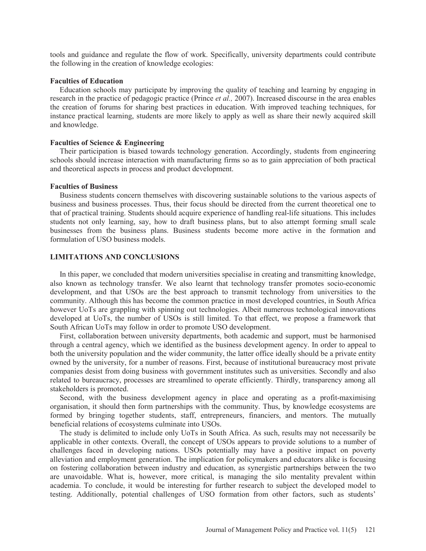tools and guidance and regulate the flow of work. Specifically, university departments could contribute the following in the creation of knowledge ecologies:

### **Faculties of Education**

 Education schools may participate by improving the quality of teaching and learning by engaging in research in the practice of pedagogic practice (Prince *et al.,* 2007). Increased discourse in the area enables the creation of forums for sharing best practices in education. With improved teaching techniques, for instance practical learning, students are more likely to apply as well as share their newly acquired skill and knowledge.

## **Faculties of Science & Engineering**

 Their participation is biased towards technology generation. Accordingly, students from engineering schools should increase interaction with manufacturing firms so as to gain appreciation of both practical and theoretical aspects in process and product development.

### **Faculties of Business**

 Business students concern themselves with discovering sustainable solutions to the various aspects of business and business processes. Thus, their focus should be directed from the current theoretical one to that of practical training. Students should acquire experience of handling real-life situations. This includes students not only learning, say, how to draft business plans, but to also attempt forming small scale businesses from the business plans. Business students become more active in the formation and formulation of USO business models.

# **LIMITATIONS AND CONCLUSIONS**

 In this paper, we concluded that modern universities specialise in creating and transmitting knowledge, also known as technology transfer. We also learnt that technology transfer promotes socio-economic development, and that USOs are the best approach to transmit technology from universities to the community. Although this has become the common practice in most developed countries, in South Africa however UoTs are grappling with spinning out technologies. Albeit numerous technological innovations developed at UoTs, the number of USOs is still limited. To that effect, we propose a framework that South African UoTs may follow in order to promote USO development.

 First, collaboration between university departments, both academic and support, must be harmonised through a central agency, which we identified as the business development agency. In order to appeal to both the university population and the wider community, the latter office ideally should be a private entity owned by the university, for a number of reasons. First, because of institutional bureaucracy most private companies desist from doing business with government institutes such as universities. Secondly and also related to bureaucracy, processes are streamlined to operate efficiently. Thirdly, transparency among all stakeholders is promoted.

 Second, with the business development agency in place and operating as a profit-maximising organisation, it should then form partnerships with the community. Thus, by knowledge ecosystems are formed by bringing together students, staff, entrepreneurs, financiers, and mentors. The mutually beneficial relations of ecosystems culminate into USOs.

 The study is delimited to include only UoTs in South Africa. As such, results may not necessarily be applicable in other contexts. Overall, the concept of USOs appears to provide solutions to a number of challenges faced in developing nations. USOs potentially may have a positive impact on poverty alleviation and employment generation. The implication for policymakers and educators alike is focusing on fostering collaboration between industry and education, as synergistic partnerships between the two are unavoidable. What is, however, more critical, is managing the silo mentality prevalent within academia. To conclude, it would be interesting for further research to subject the developed model to testing. Additionally, potential challenges of USO formation from other factors, such as students'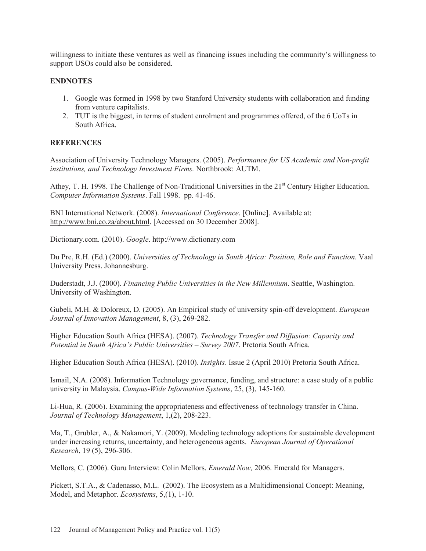willingness to initiate these ventures as well as financing issues including the community's willingness to support USOs could also be considered.

# **ENDNOTES**

- 1. Google was formed in 1998 by two Stanford University students with collaboration and funding from venture capitalists.
- 2. TUT is the biggest, in terms of student enrolment and programmes offered, of the 6 UoTs in South Africa.

# **REFERENCES**

Association of University Technology Managers. (2005). *Performance for US Academic and Non-profit institutions, and Technology Investment Firms.* Northbrook: AUTM.

Athey, T. H. 1998. The Challenge of Non-Traditional Universities in the 21<sup>st</sup> Century Higher Education. *Computer Information Systems*. Fall 1998. pp. 41-46.

BNI International Network. (2008). *International Conference*. [Online]. Available at: http://www.bni.co.za/about.html. [Accessed on 30 December 2008].

Dictionary.com. (2010). *Google*. http://www.dictionary.com

Du Pre, R.H. (Ed.) (2000). *Universities of Technology in South Africa: Position, Role and Function.* Vaal University Press. Johannesburg.

Duderstadt, J.J. (2000). *Financing Public Universities in the New Millennium*. Seattle, Washington. University of Washington.

Gubeli, M.H. & Doloreux, D. (2005). An Empirical study of university spin-off development. *European Journal of Innovation Management*, 8, (3), 269-282.

Higher Education South Africa (HESA). (2007). *Technology Transfer and Diffusion: Capacity and Potential in South Africa's Public Universities – Survey 2007*. Pretoria South Africa.

Higher Education South Africa (HESA). (2010). *Insights*. Issue 2 (April 2010) Pretoria South Africa.

Ismail, N.A. (2008). Information Technology governance, funding, and structure: a case study of a public university in Malaysia. *Campus-Wide Information Systems*, 25, (3), 145-160.

Li-Hua, R. (2006). Examining the appropriateness and effectiveness of technology transfer in China. *Journal of Technology Management*, 1,(2), 208-223.

Ma, T., Grubler, A., & Nakamori, Y. (2009). Modeling technology adoptions for sustainable development under increasing returns, uncertainty, and heterogeneous agents. *European Journal of Operational Research*, 19 (5), 296-306.

Mellors, C. (2006). Guru Interview: Colin Mellors. *Emerald Now,* 2006. Emerald for Managers.

Pickett, S.T.A., & Cadenasso, M.L. (2002). The Ecosystem as a Multidimensional Concept: Meaning, Model, and Metaphor. *Ecosystems*, 5,(1), 1-10.